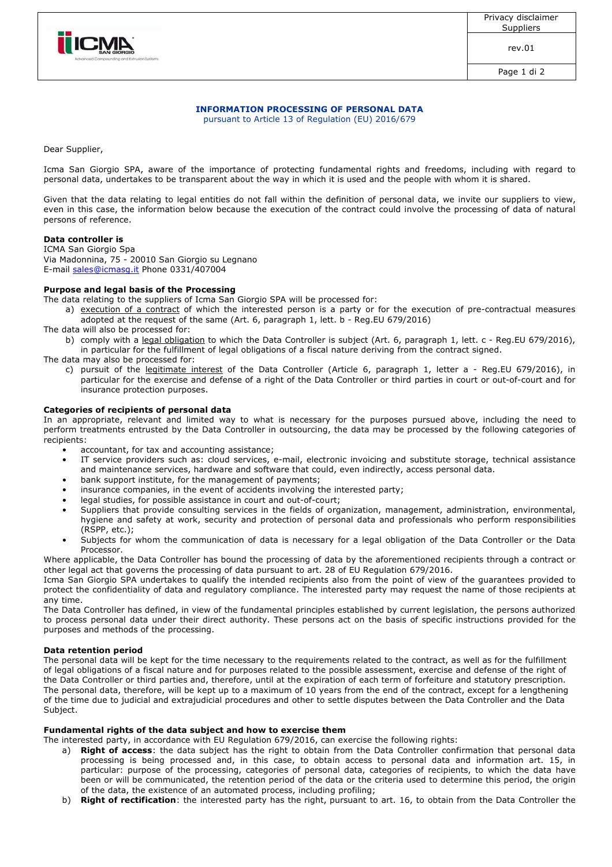

rev.01

Page 1 di 2

#### **INFORMATION PROCESSING OF PERSONAL DATA** pursuant to Article 13 of Regulation (EU) 2016/679

Dear Supplier,

Icma San Giorgio SPA, aware of the importance of protecting fundamental rights and freedoms, including with regard to personal data, undertakes to be transparent about the way in which it is used and the people with whom it is shared.

Given that the data relating to legal entities do not fall within the definition of personal data, we invite our suppliers to view, even in this case, the information below because the execution of the contract could involve the processing of data of natural persons of reference.

# **Data controller is**

ICMA San Giorgio Spa Via Madonnina, 75 - 20010 San Giorgio su Legnano E-mail sales@icmasg.it Phone 0331/407004

## **Purpose and legal basis of the Processing**

The data relating to the suppliers of Icma San Giorgio SPA will be processed for:

- a) execution of a contract of which the interested person is a party or for the execution of pre-contractual measures adopted at the request of the same (Art. 6, paragraph 1, lett. b - Reg.EU 679/2016)
- The data will also be processed for:
- b) comply with a legal obligation to which the Data Controller is subject (Art. 6, paragraph 1, lett. c Reg.EU 679/2016), in particular for the fulfillment of legal obligations of a fiscal nature deriving from the contract signed.
- The data may also be processed for:
	- c) pursuit of the legitimate interest of the Data Controller (Article 6, paragraph 1, letter a Reg.EU 679/2016), in particular for the exercise and defense of a right of the Data Controller or third parties in court or out-of-court and for insurance protection purposes.

## **Categories of recipients of personal data**

In an appropriate, relevant and limited way to what is necessary for the purposes pursued above, including the need to perform treatments entrusted by the Data Controller in outsourcing, the data may be processed by the following categories of recipients:

- accountant, for tax and accounting assistance;
- IT service providers such as: cloud services, e-mail, electronic invoicing and substitute storage, technical assistance and maintenance services, hardware and software that could, even indirectly, access personal data.
- bank support institute, for the management of payments;
- insurance companies, in the event of accidents involving the interested party;
- legal studies, for possible assistance in court and out-of-court;
- Suppliers that provide consulting services in the fields of organization, management, administration, environmental, hygiene and safety at work, security and protection of personal data and professionals who perform responsibilities (RSPP, etc.);
- Subjects for whom the communication of data is necessary for a legal obligation of the Data Controller or the Data Processor.

Where applicable, the Data Controller has bound the processing of data by the aforementioned recipients through a contract or other legal act that governs the processing of data pursuant to art. 28 of EU Regulation 679/2016.

Icma San Giorgio SPA undertakes to qualify the intended recipients also from the point of view of the guarantees provided to protect the confidentiality of data and regulatory compliance. The interested party may request the name of those recipients at any time.

The Data Controller has defined, in view of the fundamental principles established by current legislation, the persons authorized to process personal data under their direct authority. These persons act on the basis of specific instructions provided for the purposes and methods of the processing.

# **Data retention period**

The personal data will be kept for the time necessary to the requirements related to the contract, as well as for the fulfillment of legal obligations of a fiscal nature and for purposes related to the possible assessment, exercise and defense of the right of the Data Controller or third parties and, therefore, until at the expiration of each term of forfeiture and statutory prescription. The personal data, therefore, will be kept up to a maximum of 10 years from the end of the contract, except for a lengthening of the time due to judicial and extrajudicial procedures and other to settle disputes between the Data Controller and the Data Subject.

#### **Fundamental rights of the data subject and how to exercise them**

The interested party, in accordance with EU Regulation 679/2016, can exercise the following rights:

- a) **Right of access**: the data subject has the right to obtain from the Data Controller confirmation that personal data processing is being processed and, in this case, to obtain access to personal data and information art. 15, in particular: purpose of the processing, categories of personal data, categories of recipients, to which the data have been or will be communicated, the retention period of the data or the criteria used to determine this period, the origin of the data, the existence of an automated process, including profiling;
- b) **Right of rectification**: the interested party has the right, pursuant to art. 16, to obtain from the Data Controller the